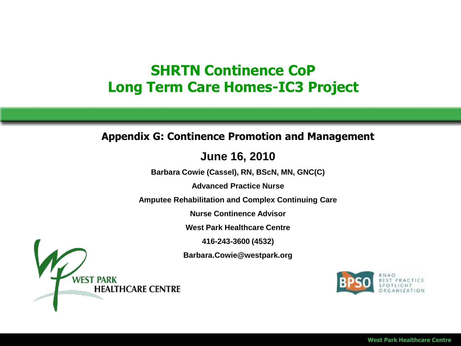### **SHRTN Continence CoP Long Term Care Homes-IC3 Project**

#### **Appendix G: Continence Promotion and Management**

#### **June 16, 2010**

**Barbara Cowie (Cassel), RN, BScN, MN, GNC(C)**

**Advanced Practice Nurse** 

**Amputee Rehabilitation and Complex Continuing Care**

**Nurse Continence Advisor**

**West Park Healthcare Centre**

**416-243-3600 (4532)**

**Barbara.Cowie@westpark.org**



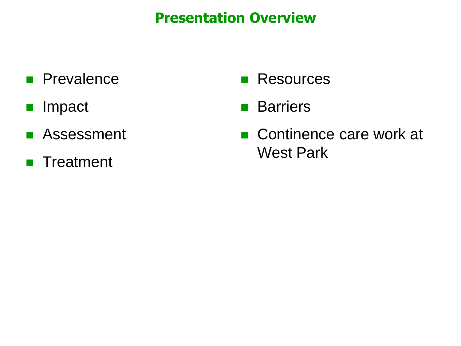### **Presentation Overview**

- **Prevalence**
- **Impact**
- **Assessment**
- **Treatment**
- **Resources**
- **Barriers**
- Continence care work at West Park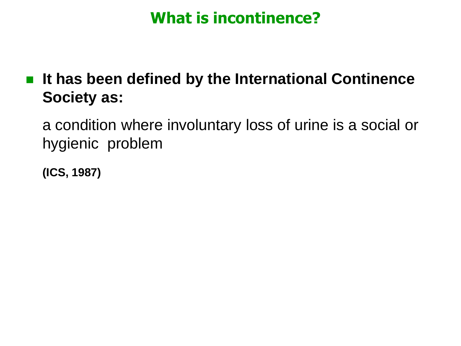# **What is incontinence?**

■ It has been defined by the International Continence **Society as:**

a condition where involuntary loss of urine is a social or hygienic problem

**(ICS, 1987)**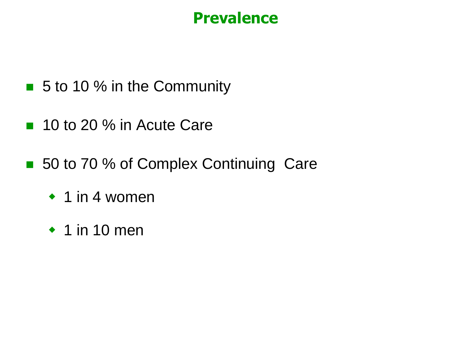# **Prevalence**

- 5 to 10 % in the Community
- 10 to 20 % in Acute Care
- 50 to 70 % of Complex Continuing Care
	- $\cdot$  1 in 4 women
	- $\cdot$  1 in 10 men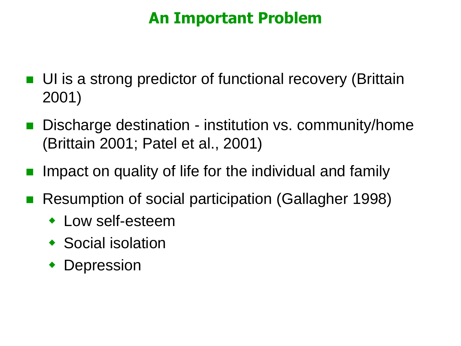# **An Important Problem**

- UI is a strong predictor of functional recovery (Brittain 2001)
- Discharge destination institution vs. community/home (Brittain 2001; Patel et al., 2001)
- Impact on quality of life for the individual and family
- Resumption of social participation (Gallagher 1998)
	- Low self-esteem
	- ◆ Social isolation
	- Depression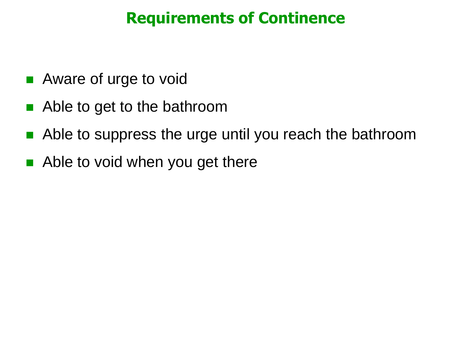# **Requirements of Continence**

- Aware of urge to void
- Able to get to the bathroom
- Able to suppress the urge until you reach the bathroom
- Able to void when you get there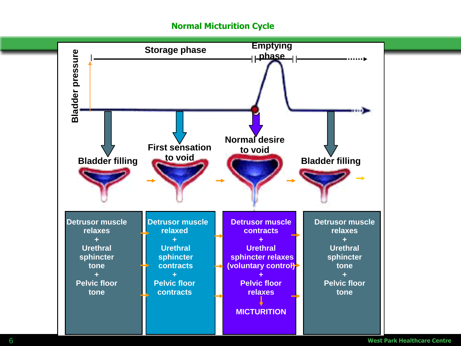#### **Normal Micturition Cycle**

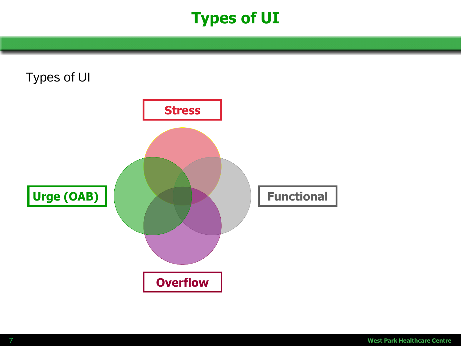# **Types of UI**



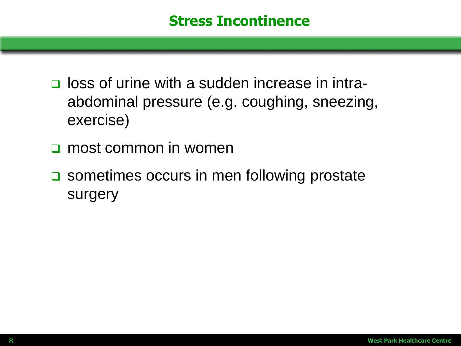- **Q** loss of urine with a sudden increase in intraabdominal pressure (e.g. coughing, sneezing, exercise)
- **n** most common in women
- **□** sometimes occurs in men following prostate surgery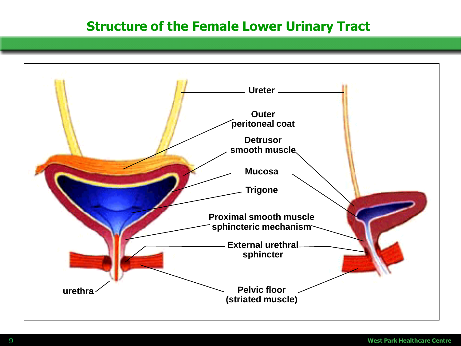#### **Structure of the Female Lower Urinary Tract**

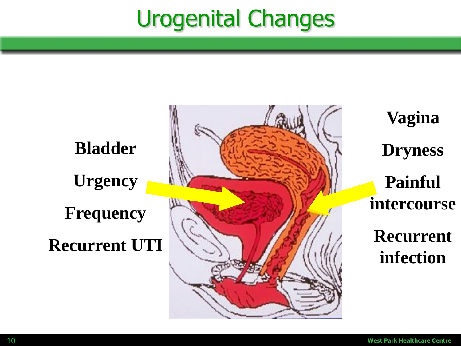# Urogenital Changes

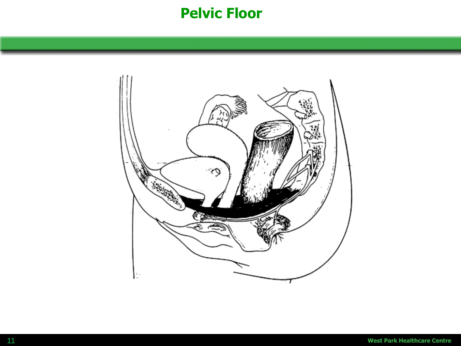### **Pelvic Floor**

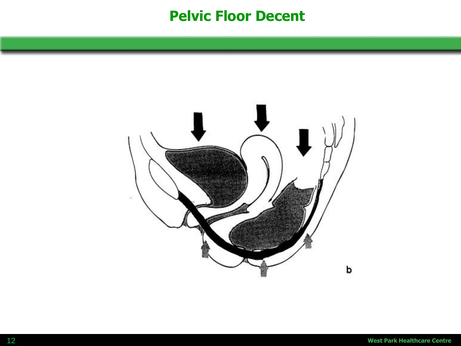#### **Pelvic Floor Decent**

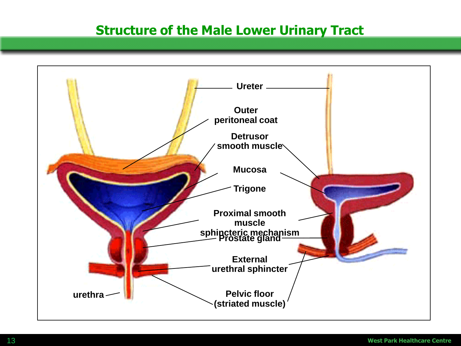#### **Structure of the Male Lower Urinary Tract**

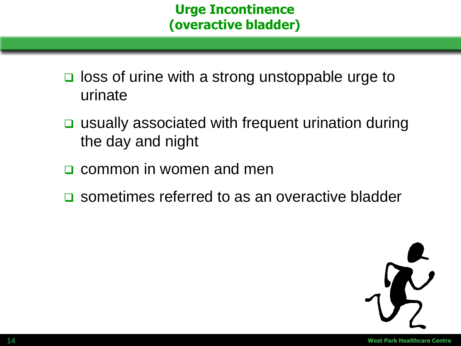#### **Urge Incontinence (overactive bladder)**

- $\Box$  loss of urine with a strong unstoppable urge to urinate
- usually associated with frequent urination during the day and night
- common in women and men
- **□** sometimes referred to as an overactive bladder

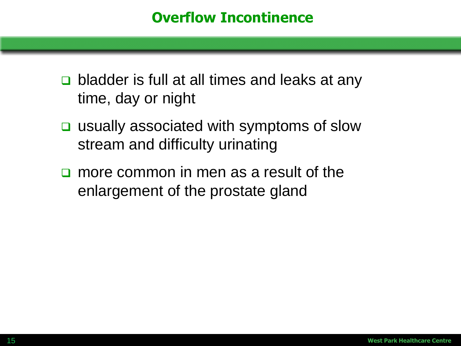- **□** bladder is full at all times and leaks at any time, day or night
- **□** usually associated with symptoms of slow stream and difficulty urinating
- **n** more common in men as a result of the enlargement of the prostate gland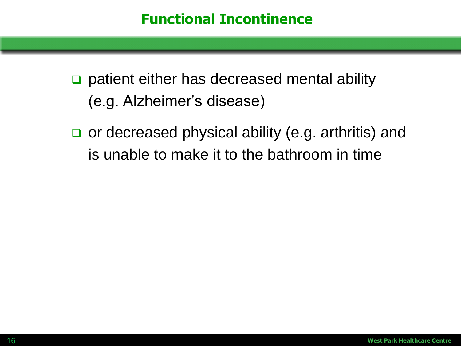□ patient either has decreased mental ability (e.g. Alzheimer's disease)

or decreased physical ability (e.g. arthritis) and is unable to make it to the bathroom in time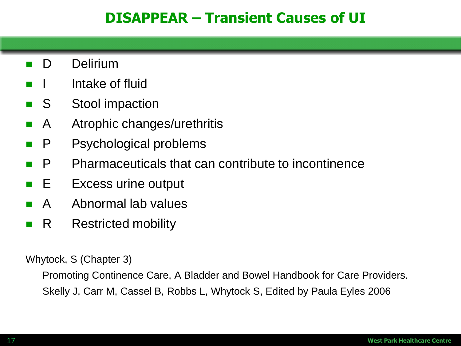#### **DISAPPEAR – Transient Causes of UI**

- **D** Delirium
- Intake of fluid
- S Stool impaction
- **A** Atrophic changes/urethritis
- **P** Psychological problems
- **P** Pharmaceuticals that can contribute to incontinence
- **E** Excess urine output
- A Abnormal lab values
- **R** Restricted mobility

Whytock, S (Chapter 3)

Promoting Continence Care, A Bladder and Bowel Handbook for Care Providers. Skelly J, Carr M, Cassel B, Robbs L, Whytock S, Edited by Paula Eyles 2006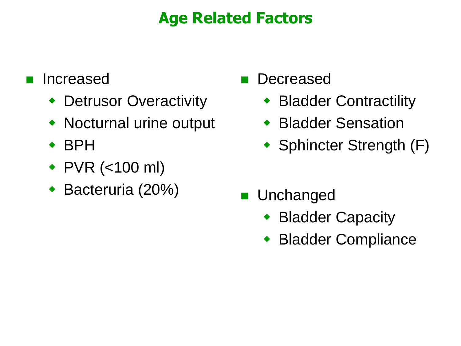# **Age Related Factors**

### Increased

- ◆ Detrusor Overactivity
- Nocturnal urine output
- BPH
- ◆ PVR (<100 ml)
- Bacteruria (20%)
- **Decreased** 
	- ◆ Bladder Contractility
	- Bladder Sensation
	- Sphincter Strength (F)
- **Unchanged** 
	- ◆ Bladder Capacity
	- Bladder Compliance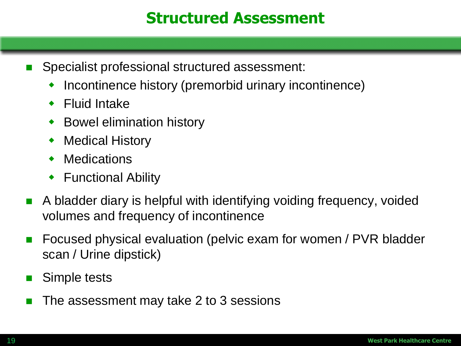# **Structured Assessment**

- Specialist professional structured assessment:
	- Incontinence history (premorbid urinary incontinence)
	- Fluid Intake
	- Bowel elimination history
	- Medical History
	- **Medications**
	- ◆ Functional Ability
- A bladder diary is helpful with identifying voiding frequency, voided volumes and frequency of incontinence
- Focused physical evaluation (pelvic exam for women / PVR bladder scan / Urine dipstick)
- Simple tests
- The assessment may take 2 to 3 sessions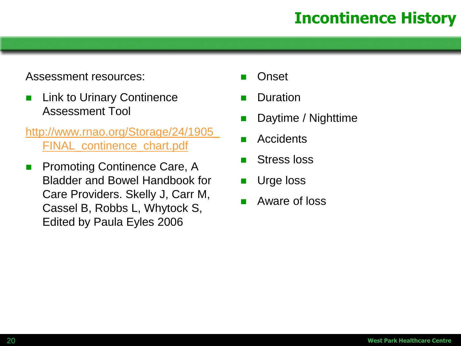# **Incontinence History**

#### Assessment resources:

- **Link to Urinary Continence** Assessment Tool
- [http://www.rnao.org/Storage/24/1905\\_](http://www.rnao.org/Storage/24/1905_FINAL_continence_chart.pdf) [FINAL\\_continence\\_chart.pdf](http://www.rnao.org/Storage/24/1905_FINAL_continence_chart.pdf)
- **Promoting Continence Care, A** Bladder and Bowel Handbook for Care Providers. Skelly J, Carr M, Cassel B, Robbs L, Whytock S, Edited by Paula Eyles 2006
- **Onset**
- Duration
- Daytime / Nighttime
- **Accidents**
- Stress loss
- Urge loss
- Aware of loss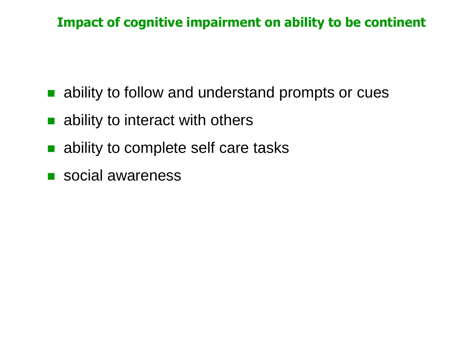#### **Impact of cognitive impairment on ability to be continent**

- ability to follow and understand prompts or cues
- ability to interact with others
- ability to complete self care tasks
- social awareness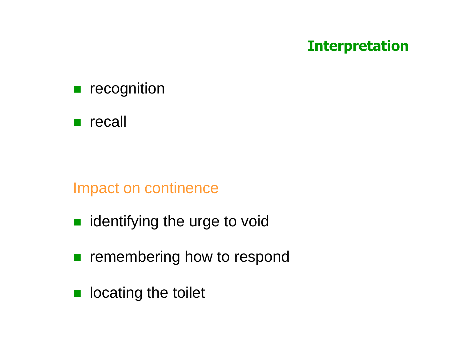### **Interpretation**

**recognition** 

**n** recall

#### Impact on continence

- identifying the urge to void
- **remembering how to respond**
- **lace leading the toilet**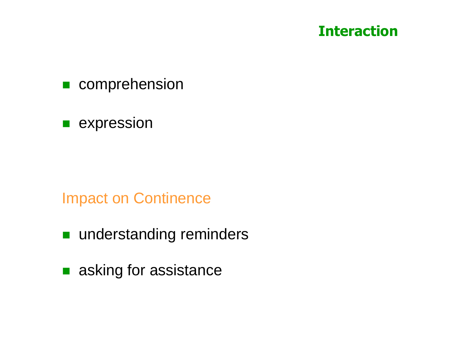### **Interaction**

- comprehension
- **E** expression

#### Impact on Continence

- understanding reminders
- asking for assistance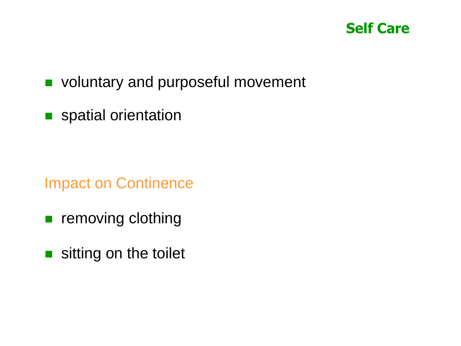

#### voluntary and purposeful movement

**spatial orientation** 

Impact on Continence

- **removing clothing**
- sitting on the toilet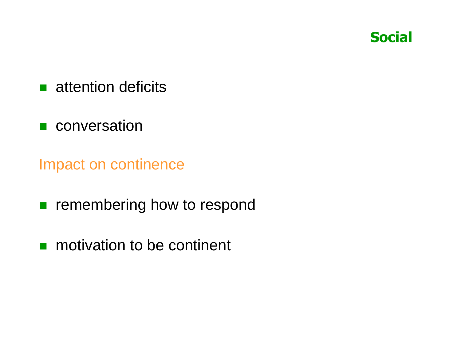

- **attention deficits**
- **n** conversation

Impact on continence

- **remembering how to respond**
- **n** motivation to be continent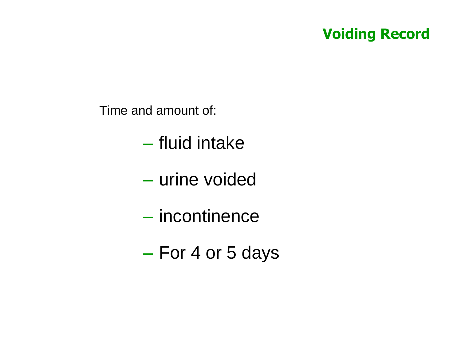### **Voiding Record**

Time and amount of:

- fluid intake
- urine voided
- incontinence
- For 4 or 5 days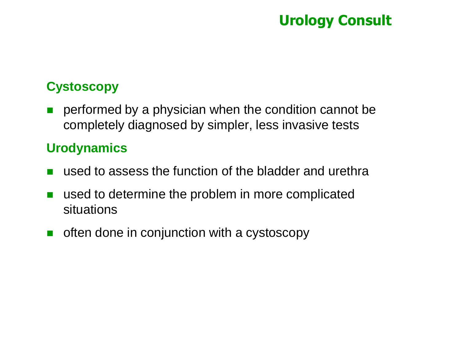### **Urology Consult**

#### **Cystoscopy**

**Part performed by a physician when the condition cannot be** completely diagnosed by simpler, less invasive tests

#### **Urodynamics**

- used to assess the function of the bladder and urethra
- used to determine the problem in more complicated situations
- $\blacksquare$  often done in conjunction with a cystoscopy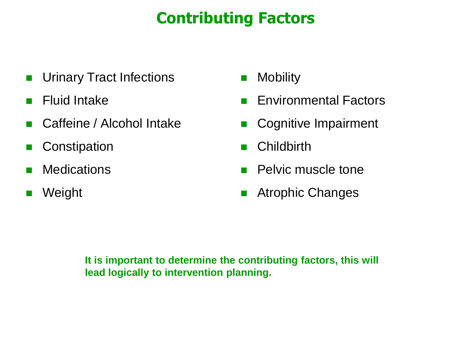# **Contributing Factors**

- **Urinary Tract Infections**
- **Fluid Intake**
- Caffeine / Alcohol Intake
- **Constipation**
- **Nedications**
- **Neight**
- **Nobility**
- **Environmental Factors**
- Cognitive Impairment
- **n** Childbirth
- **Pelvic muscle tone**
- **Atrophic Changes**

**It is important to determine the contributing factors, this will lead logically to intervention planning.**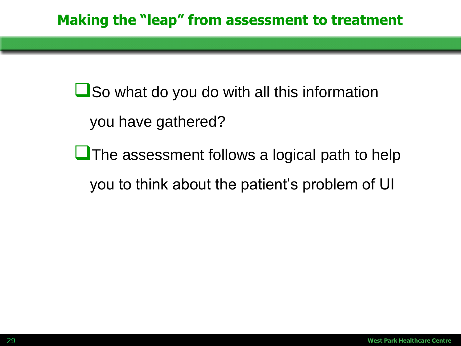**L**So what do you do with all this information you have gathered?

**L** The assessment follows a logical path to help you to think about the patient's problem of UI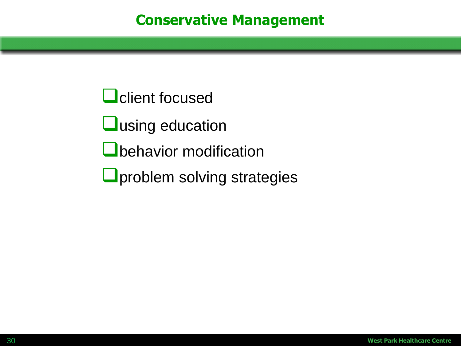**Q** client focused

**Q**using education

**O**behavior modification

**O**problem solving strategies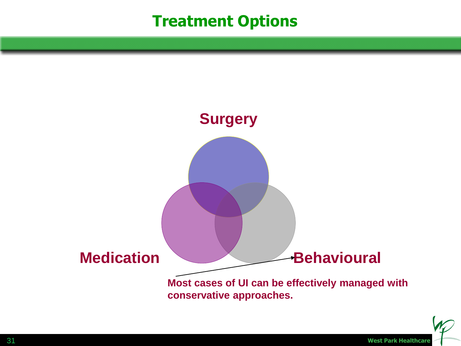# **Treatment Options**



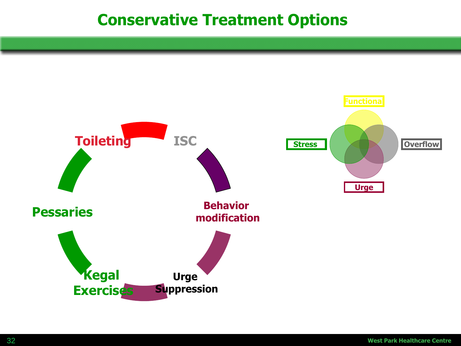# **Conservative Treatment Options**

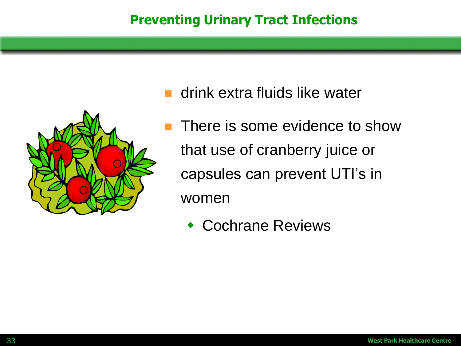

- drink extra fluids like water
- There is some evidence to show that use of cranberry juice or capsules can prevent UTI's in women
	- Cochrane Reviews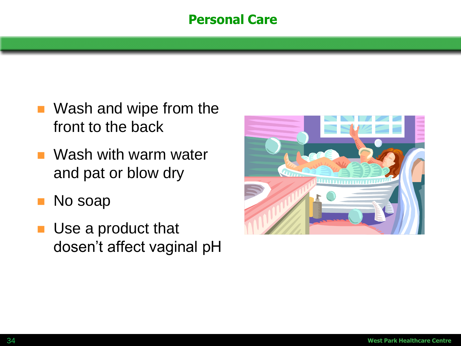#### **Personal Care**

- Wash and wipe from the front to the back
- **NASH** with warm water and pat or blow dry
- **No soap**
- **Use a product that** dosen't affect vaginal pH

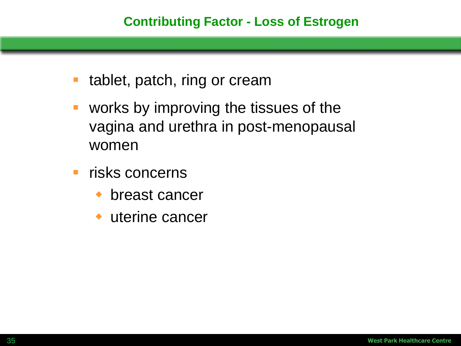- tablet, patch, ring or cream
- works by improving the tissues of the vagina and urethra in post-menopausal women
- **F** risks concerns
	- ◆ breast cancer
	- uterine cancer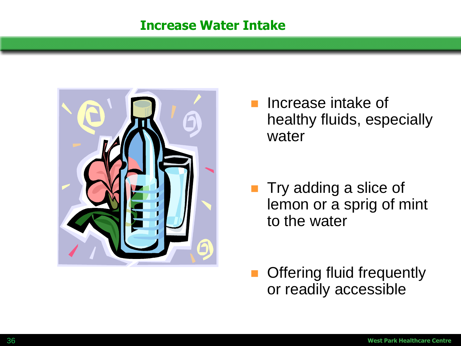#### **Increase Water Intake**



 Increase intake of healthy fluids, especially water

- Try adding a slice of lemon or a sprig of mint to the water
- Offering fluid frequently or readily accessible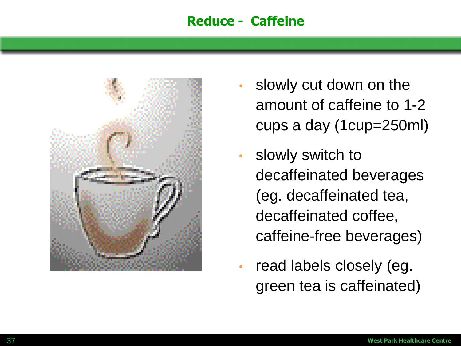#### **Reduce - Caffeine**



- slowly cut down on the amount of caffeine to 1-2 cups a day (1cup=250ml)
- slowly switch to decaffeinated beverages (eg. decaffeinated tea, decaffeinated coffee, caffeine-free beverages)
- read labels closely (eg. green tea is caffeinated)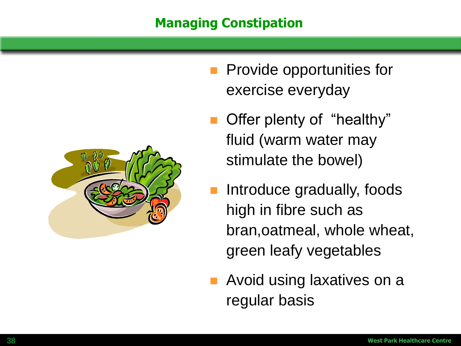#### **Managing Constipation**



- **Provide opportunities for** exercise everyday
- Offer plenty of "healthy" fluid (warm water may stimulate the bowel)
- Introduce gradually, foods high in fibre such as bran,oatmeal, whole wheat, green leafy vegetables
- Avoid using laxatives on a regular basis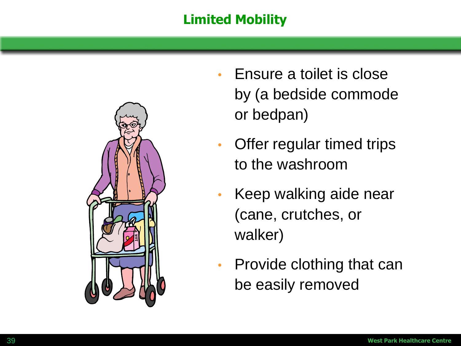### **Limited Mobility**



- Ensure a toilet is close by (a bedside commode or bedpan)
- Offer regular timed trips to the washroom
- Keep walking aide near (cane, crutches, or walker)
- Provide clothing that can be easily removed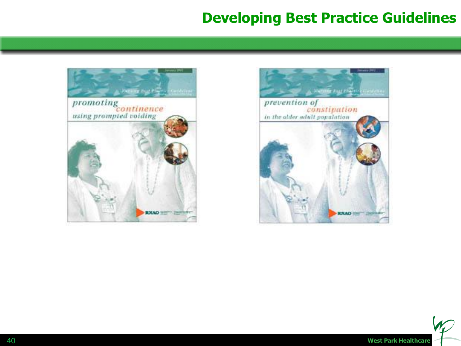### **Developing Best Practice Guidelines**





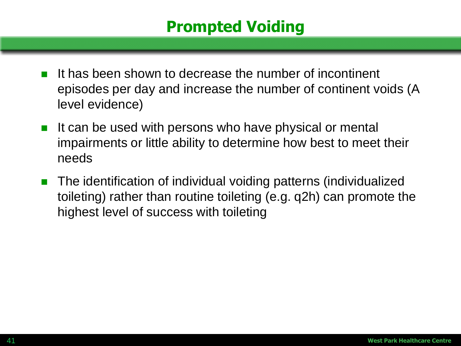# **Prompted Voiding**

- It has been shown to decrease the number of incontinent episodes per day and increase the number of continent voids (A level evidence)
- It can be used with persons who have physical or mental impairments or little ability to determine how best to meet their needs
- The identification of individual voiding patterns (individualized toileting) rather than routine toileting (e.g. q2h) can promote the highest level of success with toileting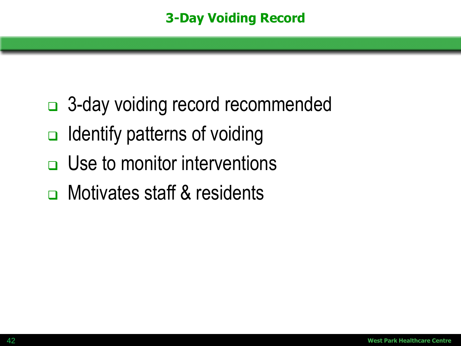- □ 3-day voiding record recommended
- $\Box$  Identify patterns of voiding
- $\Box$  Use to monitor interventions
- □ Motivates staff & residents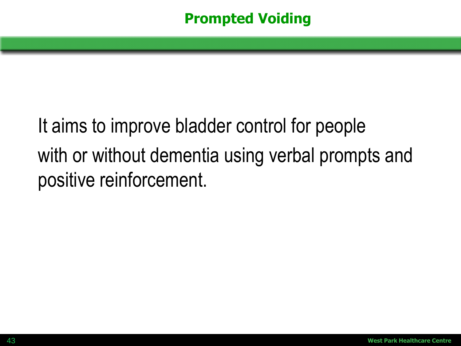### **Prompted Voiding**

# It aims to improve bladder control for people with or without dementia using verbal prompts and positive reinforcement.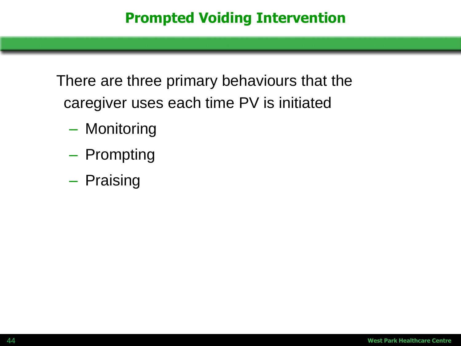There are three primary behaviours that the caregiver uses each time PV is initiated

- Monitoring
- Prompting
- Praising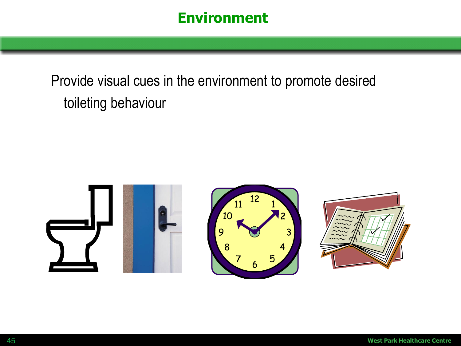### **Environment**

# Provide visual cues in the environment to promote desired toileting behaviour

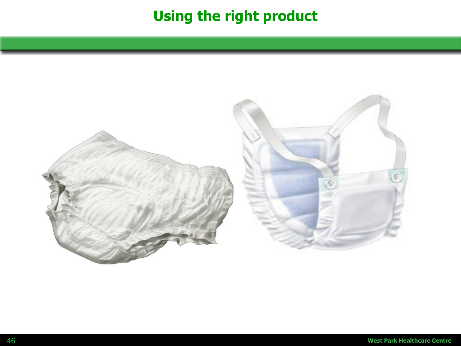# **Using the right product**

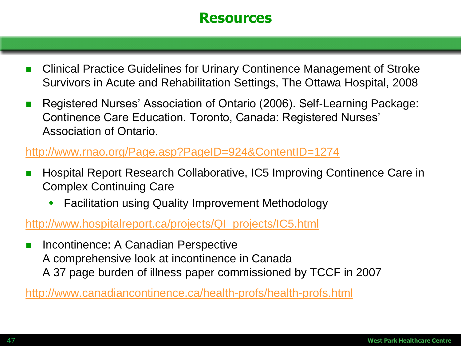#### **Resources**

- Clinical Practice Guidelines for Urinary Continence Management of Stroke Survivors in Acute and Rehabilitation Settings, The Ottawa Hospital, 2008
- Registered Nurses' Association of Ontario (2006). Self-Learning Package: Continence Care Education. Toronto, Canada: Registered Nurses' Association of Ontario.

#### <http://www.rnao.org/Page.asp?PageID=924&ContentID=1274>

- Hospital Report Research Collaborative, IC5 Improving Continence Care in Complex Continuing Care
	- Facilitation using Quality Improvement Methodology

#### [http://www.hospitalreport.ca/projects/QI\\_projects/IC5.html](http://www.hospitalreport.ca/projects/QI_projects/IC5.html)

 Incontinence: A Canadian Perspective A comprehensive look at incontinence in Canada A 37 page burden of illness paper commissioned by TCCF in 2007

#### <http://www.canadiancontinence.ca/health-profs/health-profs.html>